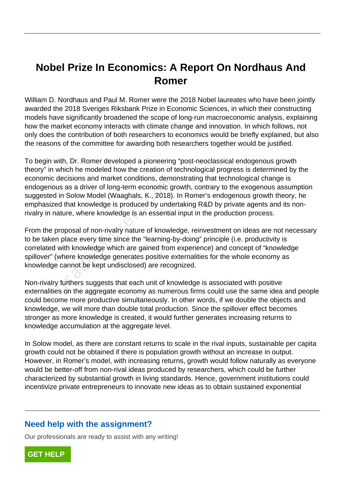# **Nobel Prize In Economics: A Report On Nordhaus And Romer**

William D. Nordhaus and Paul M. Romer were the 2018 Nobel laureates who have been jointly awarded the 2018 Sveriges Riksbank Prize in Economic Sciences, in which their constructing models have significantly broadened the scope of long-run macroeconomic analysis, explaining how the market economy interacts with climate change and innovation. In which follows, not only does the contribution of both researchers to economics would be briefly explained, but also the reasons of the committee for awarding both researchers together would be justified.

To begin with, Dr. Romer developed a pioneering "post-neoclassical endogenous growth theory" in which he modeled how the creation of technological progress is determined by the economic decisions and market conditions, demonstrating that technological change is endogenous as a driver of long-term economic growth, contrary to the exogenous assumption suggested in Solow Model (Waaghals, K., 2018). In Romer's endogenous growth theory, he emphasized that knowledge is produced by undertaking R&D by private agents and its nonrivalry in nature, where knowledge is an essential input in the production process.

From the proposal of non-rivalry nature of knowledge, reinvestment on ideas are not necessary to be taken place every time since the "learning-by-doing" principle (i.e. productivity is correlated with knowledge which are gained from experience) and concept of "knowledge spillover" (where knowledge generates positive externalities for the whole economy as knowledge cannot be kept undisclosed) are recognized. decisions and market conditions, dented<br>us as a driver of long-term economic gi<br>in Solow Model (Waaghals, K., 2018).<br>ad that knowledge is produced by unde<br>ature, where knowledge is an essentia<br>proposal of non-rivalry natur

Non-rivalry furthers suggests that each unit of knowledge is associated with positive externalities on the aggregate economy as numerous firms could use the same idea and people could become more productive simultaneously. In other words, if we double the objects and knowledge, we will more than double total production. Since the spillover effect becomes stronger as more knowledge is created, it would further generates increasing returns to knowledge accumulation at the aggregate level.

In Solow model, as there are constant returns to scale in the rival inputs, sustainable per capita growth could not be obtained if there is population growth without an increase in output. However, in Romer's model, with increasing returns, growth would follow naturally as everyone would be better-off from non-rival ideas produced by researchers, which could be further characterized by substantial growth in living standards. Hence, government institutions could incentivize private entrepreneurs to innovate new ideas as to obtain sustained exponential

# **Need help with the assignment?**

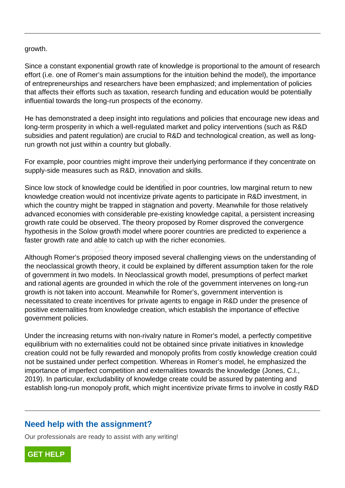growth.

Since a constant exponential growth rate of knowledge is proportional to the amount of research effort (i.e. one of Romer's main assumptions for the intuition behind the model), the importance of entrepreneurships and researchers have been emphasized; and implementation of policies that affects their efforts such as taxation, research funding and education would be potentially influential towards the long-run prospects of the economy.

He has demonstrated a deep insight into regulations and policies that encourage new ideas and long-term prosperity in which a well-regulated market and policy interventions (such as R&D subsidies and patent regulation) are crucial to R&D and technological creation, as well as longrun growth not just within a country but globally.

For example, poor countries might improve their underlying performance if they concentrate on supply-side measures such as R&D, innovation and skills.

Since low stock of knowledge could be identified in poor countries, low marginal return to new knowledge creation would not incentivize private agents to participate in R&D investment, in which the country might be trapped in stagnation and poverty. Meanwhile for those relatively advanced economies with considerable pre-existing knowledge capital, a persistent increasing growth rate could be observed. The theory proposed by Romer disproved the convergence hypothesis in the Solow growth model where poorer countries are predicted to experience a faster growth rate and able to catch up with the richer economies. stock of knowledge could be identified<br>
exercise creation would not incentivize private<br>
country might be trapped in stagnation<br>
economies with considerable pre-exist<br>
e could be observed. The theory propo<br>
is in the Solow

Although Romer's proposed theory imposed several challenging views on the understanding of the neoclassical growth theory, it could be explained by different assumption taken for the role of government in two models. In Neoclassical growth model, presumptions of perfect market and rational agents are grounded in which the role of the government intervenes on long-run growth is not taken into account. Meanwhile for Romer's, government intervention is necessitated to create incentives for private agents to engage in R&D under the presence of positive externalities from knowledge creation, which establish the importance of effective government policies.

Under the increasing returns with non-rivalry nature in Romer's model, a perfectly competitive equilibrium with no externalities could not be obtained since private initiatives in knowledge creation could not be fully rewarded and monopoly profits from costly knowledge creation could not be sustained under perfect competition. Whereas in Romer's model, he emphasized the importance of imperfect competition and externalities towards the knowledge (Jones, C.I., 2019). In particular, excludability of knowledge create could be assured by patenting and establish long-run monopoly profit, which might incentivize private firms to involve in costly R&D

### **Need help with the assignment?**

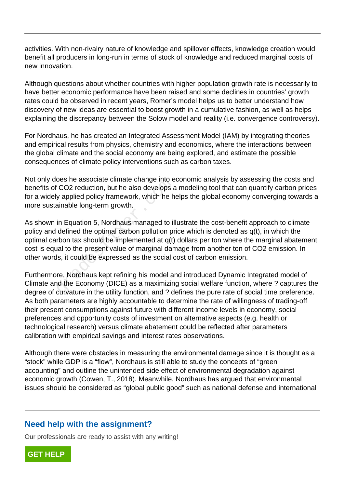activities. With non-rivalry nature of knowledge and spillover effects, knowledge creation would benefit all producers in long-run in terms of stock of knowledge and reduced marginal costs of new innovation.

Although questions about whether countries with higher population growth rate is necessarily to have better economic performance have been raised and some declines in countries' growth rates could be observed in recent years, Romer's model helps us to better understand how discovery of new ideas are essential to boost growth in a cumulative fashion, as well as helps explaining the discrepancy between the Solow model and reality (i.e. convergence controversy).

For Nordhaus, he has created an Integrated Assessment Model (IAM) by integrating theories and empirical results from physics, chemistry and economics, where the interactions between the global climate and the social economy are being explored, and estimate the possible consequences of climate policy interventions such as carbon taxes.

Not only does he associate climate change into economic analysis by assessing the costs and benefits of CO2 reduction, but he also develops a modeling tool that can quantify carbon prices for a widely applied policy framework, which he helps the global economy converging towards a more sustainable long-term growth.

As shown in Equation 5, Nordhaus managed to illustrate the cost-benefit approach to climate policy and defined the optimal carbon pollution price which is denoted as q(t), in which the optimal carbon tax should be implemented at q(t) dollars per ton where the marginal abatement cost is equal to the present value of marginal damage from another ton of CO2 emission. In other words, it could be expressed as the social cost of carbon emission. bes he associate climate change into e<br>CO2 reduction, but he also develops a<br>y applied policy framework, which he h<br>ainable long-term growth.<br>in Equation 5, Nordhaus managed to il<br>defined the optimal carbon pollution pr<br>rb

Furthermore, Nordhaus kept refining his model and introduced Dynamic Integrated model of Climate and the Economy (DICE) as a maximizing social welfare function, where ? captures the degree of curvature in the utility function, and ? defines the pure rate of social time preference. As both parameters are highly accountable to determine the rate of willingness of trading-off their present consumptions against future with different income levels in economy, social preferences and opportunity costs of investment on alternative aspects (e.g. health or technological research) versus climate abatement could be reflected after parameters calibration with empirical savings and interest rates observations.

Although there were obstacles in measuring the environmental damage since it is thought as a "stock" while GDP is a "flow", Nordhaus is still able to study the concepts of "green accounting" and outline the unintended side effect of environmental degradation against economic growth (Cowen, T., 2018). Meanwhile, Nordhaus has argued that environmental issues should be considered as "global public good" such as national defense and international

# **Need help with the assignment?**

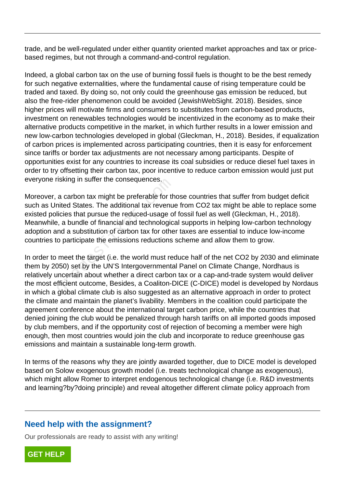trade, and be well-regulated under either quantity oriented market approaches and tax or pricebased regimes, but not through a command-and-control regulation.

Indeed, a global carbon tax on the use of burning fossil fuels is thought to be the best remedy for such negative externalities, where the fundamental cause of rising temperature could be traded and taxed. By doing so, not only could the greenhouse gas emission be reduced, but also the free-rider phenomenon could be avoided (JewishWebSight. 2018). Besides, since higher prices will motivate firms and consumers to substitutes from carbon-based products, investment on renewables technologies would be incentivized in the economy as to make their alternative products competitive in the market, in which further results in a lower emission and new low-carbon technologies developed in global (Gleckman, H., 2018). Besides, if equalization of carbon prices is implemented across participating countries, then it is easy for enforcement since tariffs or border tax adjustments are not necessary among participants. Despite of opportunities exist for any countries to increase its coal subsidies or reduce diesel fuel taxes in order to try offsetting their carbon tax, poor incentive to reduce carbon emission would just put everyone risking in suffer the consequences.

Moreover, a carbon tax might be preferable for those countries that suffer from budget deficit such as United States. The additional tax revenue from CO2 tax might be able to replace some existed policies that pursue the reduced-usage of fossil fuel as well (Gleckman, H., 2018). Meanwhile, a bundle of financial and technological supports in helping low-carbon technology adoption and a substitution of carbon tax for other taxes are essential to induce low-income countries to participate the emissions reductions scheme and allow them to grow. isking in suiter the consequences.<br>a carbon tax might be preferable for the<br>inted States. The additional tax revenu-<br>licies that pursue the reduced-usage of<br>e, a bundle of financial and technologic.<br>Ind a substitution of c

In order to meet the target (i.e. the world must reduce half of the net CO2 by 2030 and eliminate them by 2050) set by the UN'S Intergovernmental Panel on Climate Change, Nordhaus is relatively uncertain about whether a direct carbon tax or a cap-and-trade system would deliver the most efficient outcome, Besides, a Coaliton-DICE (C-DICE) model is developed by Nordaus in which a global climate club is also suggested as an alternative approach in order to protect the climate and maintain the planet's livability. Members in the coalition could participate the agreement conference about the international target carbon price, while the countries that denied joining the club would be penalized through harsh tariffs on all imported goods imposed by club members, and if the opportunity cost of rejection of becoming a member were high enough, then most countries would join the club and incorporate to reduce greenhouse gas emissions and maintain a sustainable long-term growth.

In terms of the reasons why they are jointly awarded together, due to DICE model is developed based on Solow exogenous growth model (i.e. treats technological change as exogenous), which might allow Romer to interpret endogenous technological change (i.e. R&D investments and learning?by?doing principle) and reveal altogether different climate policy approach from

# **Need help with the assignment?**